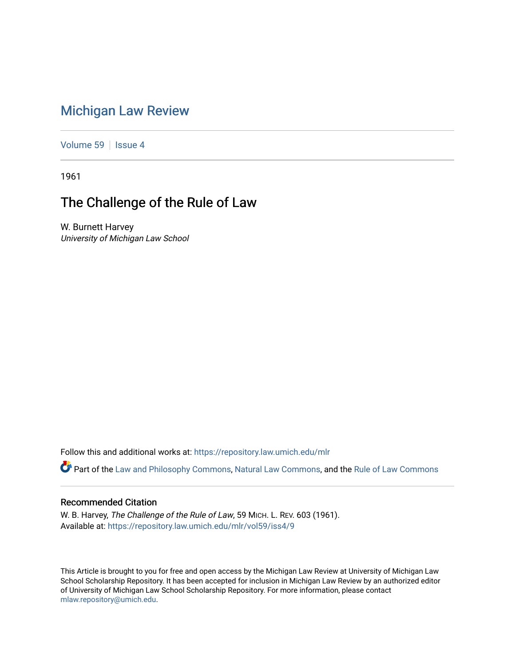# [Michigan Law Review](https://repository.law.umich.edu/mlr)

[Volume 59](https://repository.law.umich.edu/mlr/vol59) | [Issue 4](https://repository.law.umich.edu/mlr/vol59/iss4)

1961

## The Challenge of the Rule of Law

W. Burnett Harvey University of Michigan Law School

Follow this and additional works at: [https://repository.law.umich.edu/mlr](https://repository.law.umich.edu/mlr?utm_source=repository.law.umich.edu%2Fmlr%2Fvol59%2Fiss4%2F9&utm_medium=PDF&utm_campaign=PDFCoverPages) 

Part of the [Law and Philosophy Commons,](http://network.bepress.com/hgg/discipline/1299?utm_source=repository.law.umich.edu%2Fmlr%2Fvol59%2Fiss4%2F9&utm_medium=PDF&utm_campaign=PDFCoverPages) [Natural Law Commons](http://network.bepress.com/hgg/discipline/1263?utm_source=repository.law.umich.edu%2Fmlr%2Fvol59%2Fiss4%2F9&utm_medium=PDF&utm_campaign=PDFCoverPages), and the [Rule of Law Commons](http://network.bepress.com/hgg/discipline/1122?utm_source=repository.law.umich.edu%2Fmlr%2Fvol59%2Fiss4%2F9&utm_medium=PDF&utm_campaign=PDFCoverPages) 

### Recommended Citation

W. B. Harvey, The Challenge of the Rule of Law, 59 MICH. L. REV. 603 (1961). Available at: [https://repository.law.umich.edu/mlr/vol59/iss4/9](https://repository.law.umich.edu/mlr/vol59/iss4/9?utm_source=repository.law.umich.edu%2Fmlr%2Fvol59%2Fiss4%2F9&utm_medium=PDF&utm_campaign=PDFCoverPages)

This Article is brought to you for free and open access by the Michigan Law Review at University of Michigan Law School Scholarship Repository. It has been accepted for inclusion in Michigan Law Review by an authorized editor of University of Michigan Law School Scholarship Repository. For more information, please contact [mlaw.repository@umich.edu.](mailto:mlaw.repository@umich.edu)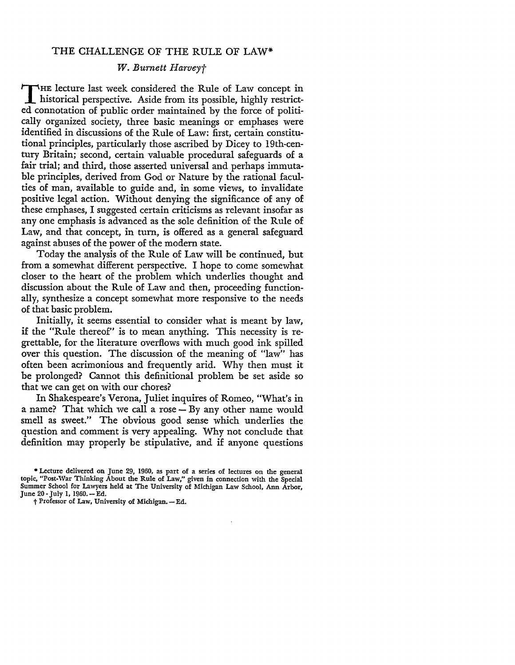#### THE CHALLENGE OF THE RULE OF LAW\*

### *W. Burnett Harveyf*

THE lecture last week considered the Rule of Law concept in historical perspective. Aside from its possible, highly restricted connotation of public order maintained by the force of politically organized society, three basic meanings or emphases were identified in discussions of the Rule of Law: first, certain constitutional principles, particularly those ascribed by Dicey to I 9th-century Britain; second, certain valuable procedural safeguards of a fair trial; and third, those asserted universal and perhaps immutable principles, derived from God or Nature by the rational faculties of man, available to guide and, in some views, to invalidate positive legal action. Without denying the significance of any of these emphases, I suggested certain criticisms as relevant insofar as any one emphasis is advanced as the sole definition of the Rule of Law, and that concept, in tum, is offered as a general safeguard against abuses of the power of the modem state.

Today the analysis of the Rule of Law will be continued, but from a somewhat different perspective. I hope to come somewhat closer to the heart of the problem which underlies thought and discussion about the Rule of Law and then, proceeding functionally, synthesize a concept somewhat more responsive to the needs of that basic problem.

Initially, it seems essential to consider what is meant by law, if the "Rule thereof" is to mean anything. This necessity is regrettable, for the literature overflows with much good ink spilled over this question. The discussion of the meaning of "law" has often been acrimonious and frequently arid. Why then must it be prolonged? Cannot this definitional problem be set aside so that we can get on with our chores?

In Shakespeare's Verona, Juliet inquires of Romeo, "What's in a name? That which we call a rose - By any other name would smell as sweet." The obvious good sense which underlies the question and comment is very appealing. Why not conclude that definition may properly be stipulative, and if anyone questions

<sup>•</sup> Lecture delivered on June 29, 1960, as part of a series of lectures on the general topic, "Post-'War Thinking About the Rule of Law," given in connection with the Special Summer School for Lawyers held at The University of Michigan Law School, Ann Arbor, June 20 - July 1, 1960. -- Ed.

t Professor of Law, University of Michigan. - Ed.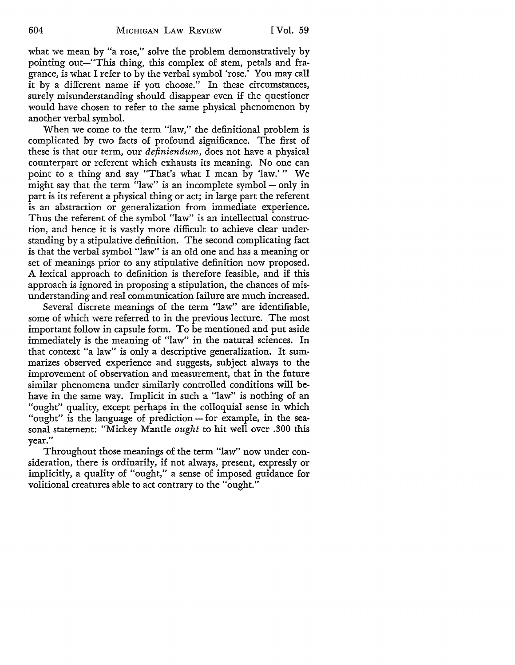what we mean by "a rose," solve the problem demonstratively by pointing out-"This thing, this complex of stem, petals and fragrance, is what I refer to by the verbal symbol 'rose.' You may call it by a different name if you choose." In these circumstances, surely misunderstanding should disappear even if the questioner would have chosen to refer to the same physical phenomenon by another verbal symbol.

When we come to the term "law," the definitional problem is complicated by two facts of profound significance. The first of these is that our term, our *definiendum,* does not have a physical counterpart or referent which exhausts its meaning. No one can point to a thing and say "That's what I mean by 'law.'" We might say that the term "law" is an incomplete symbol - only in part is its referent a physical thing or act; in large part the referent is an abstraction or generalization from immediate experience. Thus the referent of the symbol "law" is an intellectual construction, and hence it is vastly more difficult to achieve clear understanding by a stipulative definition. The second complicating fact is that the verbal symbol "law" is an old one and has a meaning or set of meanings prior to any stipulative definition now proposed. A lexical approach to definition is therefore feasible, and if this approach is ignored in proposing a stipulation, the chances of misunderstanding and real communication failure are much increased.

Several discrete meanings of the term "law" are identifiable, some of which were referred to in the previous lecture. The most important follow in capsule form. To be mentioned and put aside immediately is the meaning of "law" in the natural sciences. In that context "a law" is only a descriptive generalization. It summarizes observed experience and suggests, subject always to the improvement of observation and measurement, that in the future similar phenomena under similarly controlled conditions will behave in the same way. Implicit in such a "law" is nothing of an "ought" quality, except perhaps in the colloquial sense in which "ought" is the language of prediction – for example, in the seasonal statement: "Mickey Mantle *ought* to hit well over .300 this year."

Throughout those meanings of the term "law" now under consideration, there is ordinarily, if not always, present, expressly or implicitly, a quality of "ought," a sense of imposed guidance for volitional creatures able to act contrary to the "ought."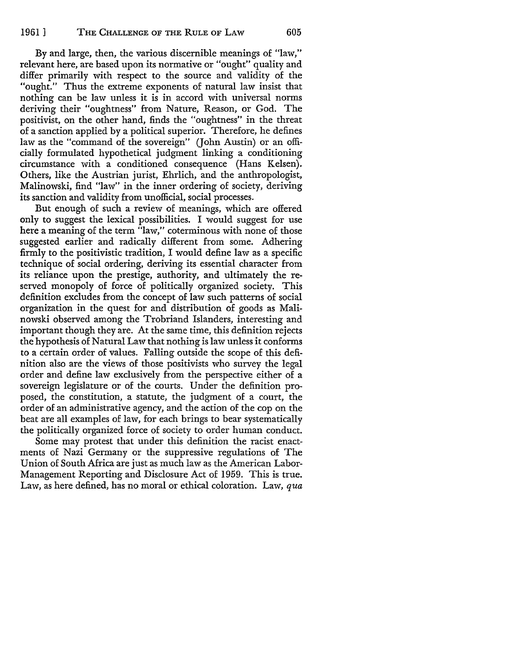By and large, then, the various discernible meanings of "law," relevant here, are based upon its normative or "ought" quality and differ primarily with respect to the source and validity of the "ought." Thus the extreme exponents of natural law insist that nothing can be law unless it is in accord with universal norms deriving their "oughtness" from Nature, Reason, or God. The positivist, on the other hand, finds the "oughtness" in the threat of a sanction applied by a political superior. Therefore, he defines law as the "command of the sovereign" (John Austin) or an officially formulated hypothetical judgment linking a conditioning circumstance with a conditioned consequence (Hans Kelsen). Others, like the Austrian jurist, Ehrlich, and the anthropologist, Malinowski, find "law" in the inner ordering of society, deriving its sanction and validity from unofficial, social processes.

But enough of such a review of meanings, which are offered only to suggest the lexical possibilities. I would suggest for use here a meaning of the term "law," coterminous with none of those suggested earlier and radically different from some. Adhering firmly to the positivistic tradition, I would define law as a specific technique of social ordering, deriving its essential character from its reliance upon the prestige, authority, and ultimately the reserved monopoly of force of politically organized society. This definition excludes from the concept of law such patterns of social organization in the quest for and distribution of goods as Malinowski observed among the Trobriand Islanders, interesting and important though they are. At the same time, this definition rejects the hypothesis of Natural Law that nothing is law unless it conforms to a certain order of values. Falling outside the scope of this definition also are the views of those positivists who survey the legal order and define law exclusively from the perspective either of a sovereign legislature or of the courts. Under the definition proposed, the constitution, a statute, the judgment of a court, the order of an administrative agency, and the action of the cop on the beat are all examples of law, for each brings to bear systematically the politically organized force of society to order human conduct.

Some may protest that under this definition the racist enactments of Nazi Germany or the suppressive regulations of The Union of South Africa are just as much law as the American Labor-Management Reporting and Disclosure Act of 1959. This is true. Law, as here defined, has no moral or ethical coloration. Law, *qua*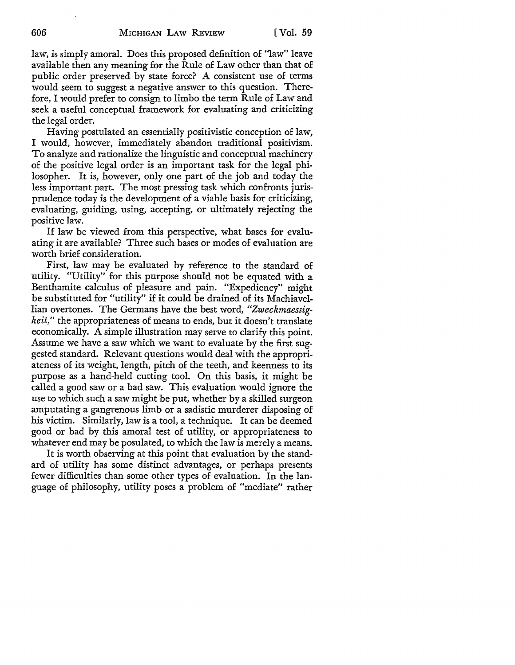law, is simply amoral. Does this proposed definition of "law" leave available then any meaning for the Rule of Law other than that of public order preserved by state force? A consistent use of terms would seem to suggest a negative answer to this question. Therefore, I would prefer to consign to limbo the term Rule of Law and seek a useful conceptual framework for evaluating and criticizing the legal order.

Having postulated an essentially positivistic conception of law, I would, however, immediately abandon traditional positivism. To analyze and rationalize the linguistic and conceptual machinery of the positive legal order is an important task for the legal philosopher. It is, however, only one part of the job and today the less important part. The most pressing task which confronts jurisprudence today is the development of a viable basis for criticizing, evaluating, guiding, using, accepting, or ultimately rejecting the positive law.

If law be viewed from this perspective, what bases for evaluating it are available? Three such bases or modes of evaluation are worth brief consideration.

First, law may be evaluated by reference to the standard of utility. "Utility" for this purpose should not be equated with a Benthamite calculus of pleasure and pain. "Expediency" might be substituted for "utility" if it could be drained of its Machiavellian overtones. The Germans have the best word, *"Zweckmaessigkeit,"* the appropriateness of means to ends, but it doesn't translate economically. A simple illustration may serve to clarify this point. Assume we have a saw which we want to evaluate by the first suggested standard. Relevant questions would deal with the appropriateness of its weight, length, pitch of the teeth, and keenness to its purpose as a hand-held cutting tool. On this basis, it might be called a good saw or a bad saw. This evaluation would ignore the use to which such a saw might be put, whether by a skilled surgeon amputating a gangrenous limb or a sadistic murderer disposing of his victim. Similarly, law is a tool, a technique. It can be deemed good or bad by this amoral test of utility, or appropriateness to whatever end may be posulated, to which the law is merely a means.

It is worth observing at this point that evaluation by the standard of utility has some distinct advantages, or perhaps presents fewer difficulties than some other types of evaluation. In the language of philosophy, utility poses a problem of "mediate" rather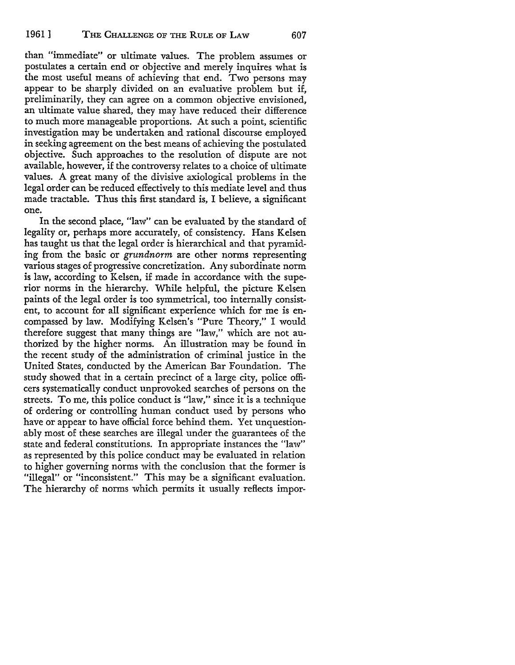than "immediate" or ultimate values. The problem assumes or postulates a certain end or objective and merely inquires what is the most useful means of achieving that end. Two persons may appear to be sharply divided on an evaluative problem but if, preliminarily, they can agree on a common objective envisioned, an ultimate value shared, they may have reduced their difference to much more manageable proportions. At such a point, scientific investigation may be undertaken and rational discourse employed in seeking agreement on the best means of achieving the postulated objective. Such approaches to the resolution of dispute are not available, however, if the controversy relates to a choice of ultimate values. A great many of the divisive axiological problems in the legal order can be reduced effectively to this mediate level and thus made tractable. Thus this first standard is, I believe, a significant one.

In the second place, "law" can be evaluated by the standard of legality or, perhaps more accurately, of consistency. Hans Kelsen has taught us that the legal order is hierarchical and that pyramiding from the basic or grundnorm are other norms representing various stages of progressive concretization. Any subordinate norm is law, according to Kelsen, if made in accordance with the superior norms in the hierarchy. While helpful, the picture Kelsen paints of the legal order is too symmetrical, too internally consistent, to account for all significant experience which for me is encompassed by law. Modifying Kelsen's "Pure Theory," I would therefore suggest that many things are "law," which are not authorized by the higher norms. An illustration may be found in the recent study of the administration of criminal justice in the United States, conducted by the American Bar Foundation. The study showed that in a certain precinct of a large city, police officers systematically conduct unprovoked searches of persons on the streets. To me, this police conduct is "law," since it is a technique of ordering or controlling human conduct used by persons who have or appear to have official force behind them. Yet unquestionably most of these searches are illegal under the guarantees of the state and federal constitutions. In appropriate instances the "law" as represented by this police conduct may be evaluated in relation to higher governing norms with the conclusion that the former is "illegal" or "inconsistent." This may be a significant evaluation. The hierarchy of norms which permits it usually reflects impor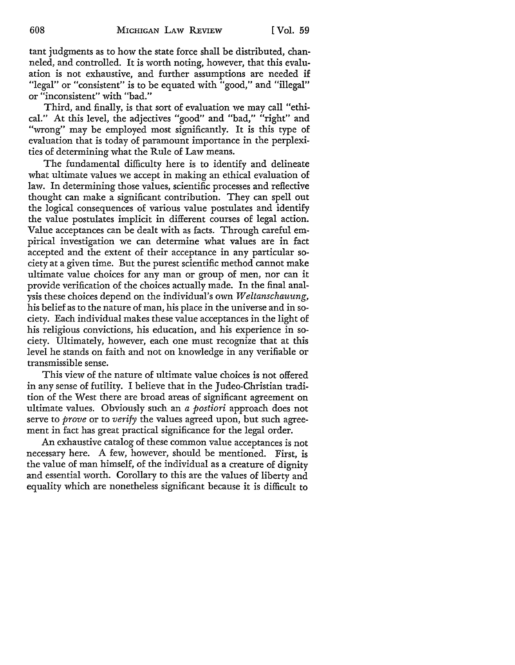tant judgments as to how the state force shall be distributed, channeled, and controlled. It is worth noting, however, that this evaluation is not exhaustive, and further assumptions are needed if "legal" or "consistent" is to be equated with "good," and "illegal" or "inconsistent" with "bad."

Third, and finally, is that sort of evaluation we may call "ethical." At this level, the adjectives "good" and "bad," "right" and "wrong" may be employed most significantly. It is this type of evaluation that is today of paramount importance in the perplexities of determining what the Rule of Law means.

The fundamental difficulty here is to identify and delineate what ultimate values we accept in making an ethical evaluation of law. In determining those values, scientific processes and reflective thought can make a significant contribution. They can spell out the logical consequences of various value postulates and identify the value postulates implicit in different courses of legal action. Value acceptances can be dealt with as facts. Through careful empirical investigation we can determine what values are in fact accepted and the extent of their acceptance in any particular society at a given time. But the purest scientific method cannot make ultimate value choices for any man or group of men, nor can it provide verification of the choices actually made. In the final analysis these choices depend on the individual's own *Weltanschauung,*  his belief as to the nature of man, his place in the universe and in society. Each individual makes these value acceptances in the light of his religious convictions, his education, and his experience in society. Ultimately, however, each one must recognize that at this level he stands on faith and not on knowledge in any verifiable or transmissible sense.

This view of the nature of ultimate value choices is not offered in any sense of futility. I believe that in the Judeo-Christian tradition of the West there are broad areas of significant agreement on ultimate values. Obviously such an *a postiori* approach does not serve to *prove* or to *verify* the values agreed upon, but such agreement in fact has great practical significance for the legal order.

An exhaustive catalog of these common value acceptances is not necessary here. A few, however, should be mentioned. First, is the value of man himself, of the individual as a creature of dignity and essential worth. Corollary to this are the values of liberty and equality which are nonetheless significant because it is difficult to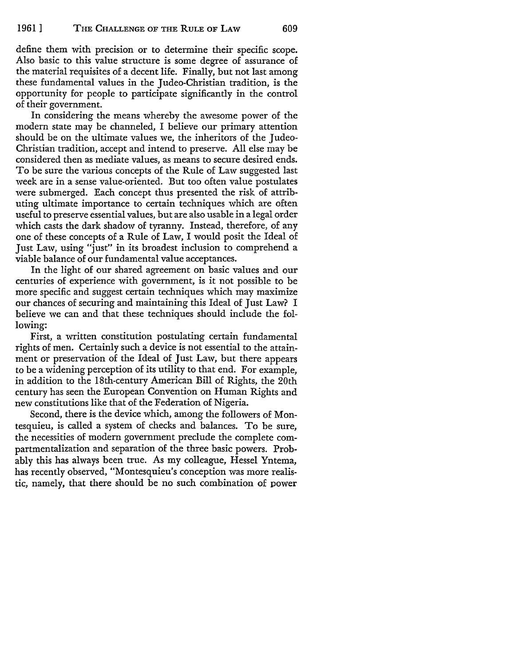define them with precision or to determine their specific scope. Also basic to this value structure is some degree of assurance of the material requisites of a decent life. Finally, but not last among these fundamental values in the Judea-Christian tradition, is the opportunity for people to participate significantly in the control of their government.

In considering the means whereby the awesome power of the modern state may be channeled, I believe our primary attention should be on the ultimate values we, the inheritors of the Judeo-Christian tradition, accept and intend to preserve. All else may be considered then as mediate values, as means to secure desired ends. To be sure the various concepts of the Rule of Law suggested last week are in a sense value-oriented. But too often value postulates were submerged. Each concept thus presented the risk of attributing ultimate importance to certain techniques which are often useful to preserve essential values, but are also usable in a legal order which casts the dark shadow of tyranny. Instead, therefore, of any one of these concepts of a Rule of Law, I would posit the Ideal of Just Law, using "just" in its broadest inclusion to comprehend a viable balance of our fundamental value acceptances.

In the light of our shared agreement on basic values and our centuries of experience with government, is it not possible to be more specific and suggest certain techniques which may maximize our chances of securing and maintaining this Ideal of Just Law? I believe we can and that these techniques should include the following:

First, a written constitution postulating certain fundamental rights of men. Certainly such a device is not essential to the attainment or preservation of the Ideal of Just Law, but there appears to be a widening perception of its utility to that end. For example, in addition to the 18th-century American Bill of Rights, the 20th century has seen the European Convention on Human Rights and new constitutions like that of the Federation of Nigeria.

Second, there is the device which, among the followers of Montesquieu, is called a system of checks and balances. To be sure, the necessities of modern government preclude the complete compartmentalization and separation of the three basic powers. Probably this has always been true. As my colleague, Hessel Yntema, has recently observed, "Montesquieu's conception was more realistic, namely, that there should be no such combination of power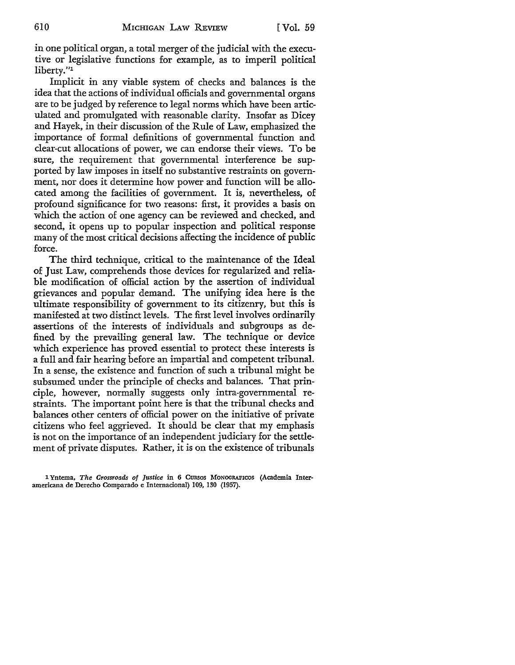in one political organ, a total merger of the judicial with the executive or legislative functions for example, as to imperil political liberty."1

Implicit in any viable system of checks and balances is the idea that the actions of individual officials and governmental organs are to be judged by reference to legal norms which have been articulated and promulgated with reasonable clarity. Insofar as Dicey and Hayek, in their discussion of the Rule of Law, emphasized the importance of formal definitions of governmental function and clear-cut allocations of power, we can endorse their views. To be sure, the requirement that governmental interference be supported by law imposes in itself no substantive restraints on government, nor does it determine how power and function will be allocated among the facilities of government. It is, nevertheless, of profound significance for two reasons: first, it provides a basis on which the action of one agency can be reviewed and checked, and second, it opens up to popular inspection and political response many of the most critical decisions affecting the incidence of public force.

The third technique, critical to the maintenance of the Ideal of Just Law, comprehends those devices for regularized and reliable modification of official action by the assertion of individual grievances and popular demand. The unifying idea here is the ultimate responsibility of government to its citizenry, but this is manifested at two distinct levels. The first level involves ordinarily assertions of the interests of individuals and subgroups as defined by the prevailing general law. The technique or device which experience has proved essential to protect these interests is a full and fair hearing before an impartial and competent tribunal. In a sense, the existence and function of such a tribunal might be subsumed under the principle of checks and balances. That principle, however, normally suggests only intra-governmental restraints. The important point here is that the tribunal checks and balances other centers of official power on the initiative of private citizens who feel aggrieved. It should be clear that my emphasis is not on the importance of an independent judiciary for the settlement of private disputes. Rather, it is on the existence of tribunals

<sup>1</sup> Yntema, *The Crossroads of Justice* in 6 CURSos MoNOGRAFICOS (Academia Interamericana de Derecho Comparado e Internacional) 109, 130 (1957).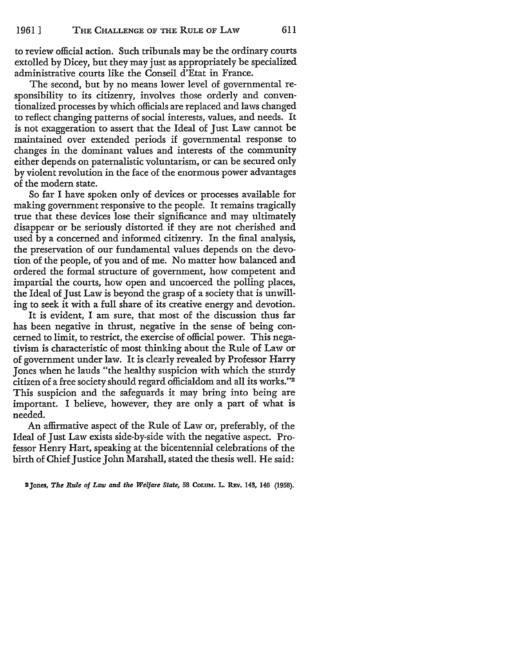to review official action. Such tribunals may be the ordinary courts extolled by Dicey, but they may just as appropriately be specialized administrative courts like the Conseil d'Etat in France.

The second, but by no means lower level of governmental responsibility to its citizenry, involves those orderly and conventionalized processes by which officials are replaced and laws changed to reflect changing patterns of social interests, values, and needs. It is not exaggeration to assert that the Ideal of Just Law cannot be maintained over extended periods if governmental response to changes in the dominant values and interests of the community either depends on paternalistic voluntarism, or can be secured only by violent revolution in the face of the enormous power advantages of the modern state.

So far I have spoken only of devices or processes available for making government responsive to the people. It remains tragically true that these devices lose their significance and may ultimately disappear or be seriously distorted if they are not cherished and used by a concerned and informed citizenry. In the final analysis, the preservation of our fundamental values depends on the devotion of the people, of you and of me. No matter how balanced and ordered the formal structure of government, how competent and impartial the courts, how open and uncoerced the polling places, the Ideal of Just Law is beyond the grasp of a society that is unwilling to seek it with a full share of its creative energy and devotion.

It is evident, I am sure, that most of the discussion thus far has been negative in thrust, negative in the sense of being concerned to limit, to restrict, the exercise of official power. This negativism is characteristic of most thinking about the Rule of Law or of government under law. It is clearly revealed by Professor Harry Jones when he lauds "the healthy suspicion with which the sturdy citizen of a free society should regard officialdom and all its works."<sup>2</sup> This suspicion and the safeguards it may bring into being are important. I believe, however, they are only a part of what is needed.

An affirmative aspect of the Rule of Law or, preferably, of the Ideal of Just Law exists side-by-side with the negative aspect. Professor Henry Hart, speaking at the bicentennial celebrations of the birth of Chief Justice John Marshall, stated the thesis well. He said:

2 Jones, *The Rule of Law and the Welfare State,* 58 CoLUM. L REv. 143, 146 (1958).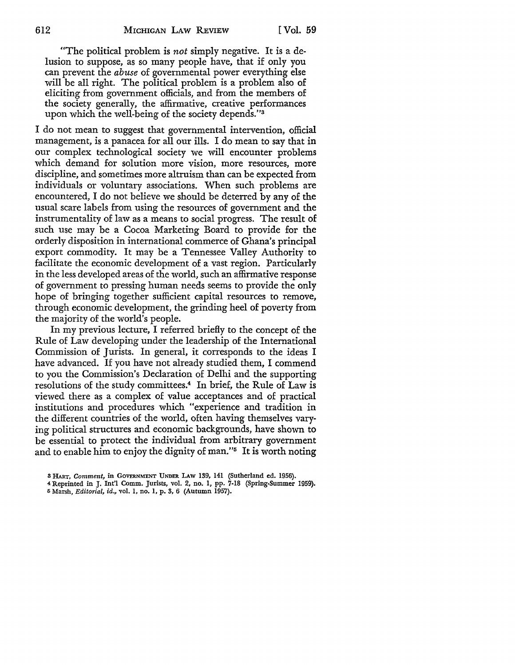"The political problem is *not* simply negative. It is a delusion to suppose, as so many people have, that if only you can prevent the *abuse* of governmental power everything else will be all right. The political problem is a problem also of eliciting from government officials, and from the members of the society generally, the affirmative, creative performances upon which the well-being of the society depends.''<sup>3</sup>

I do not mean to suggest that governmental intervention, official management, is a panacea for all our ills. I do mean to say that in our complex technological society we will encounter problems which demand for solution more vision, more resources, more discipline, and sometimes more altruism than can be expected from individuals or voluntary associations. When such problems are encountered, I do not believe we should be deterred by any of the usual scare labels from using the resources of government and the instrumentality of law as a means to social progress. The result of such use may be a Cocoa Marketing Board to provide for the orderly disposition in international commerce of Ghana's principal export commodity. It may be a Tennessee Valley Authority to facilitate the economic development of a vast region. Particularly in the less developed areas of the world, such an affirmative response of government to pressing human needs seems to provide the only hope of bringing together sufficient capital resources to remove, through economic development, the grinding heel of poverty from the majority of the world's people.

In my previous lecture, I referred briefly to the concept of the Rule of Law developing under the leadership of the International Commission of Jurists. In general, it corresponds to the ideas I have advanced. If you have not already studied them, I commend to you the Commission's Declaration of Delhi and the supporting resolutions of the study committees.4 In brief, the Rule of Law is viewed there as a complex of value acceptances and of practical institutions and procedures which "experience and tradition in the different countries of the world, often having themselves varying political structures and economic backgrounds, have shovm to be essential to protect the individual from arbitrary government and to enable him to enjoy the dignity of man.''5 It is worth noting

s HART, *Comment,* in GOVERNMENT UNDER I.Aw 139, 141 (Sutherland ed. 1956).

<sup>4</sup>Reprinted in J. Int'l Comm. Jurists, vol. 2, no. 1, pp. 7-18 (Spring-Summer 1959).

<sup>5</sup> Marsh, *Editorial, id.,* vol. 1, no. 1, p. 3, 6 (Autumn 1957).